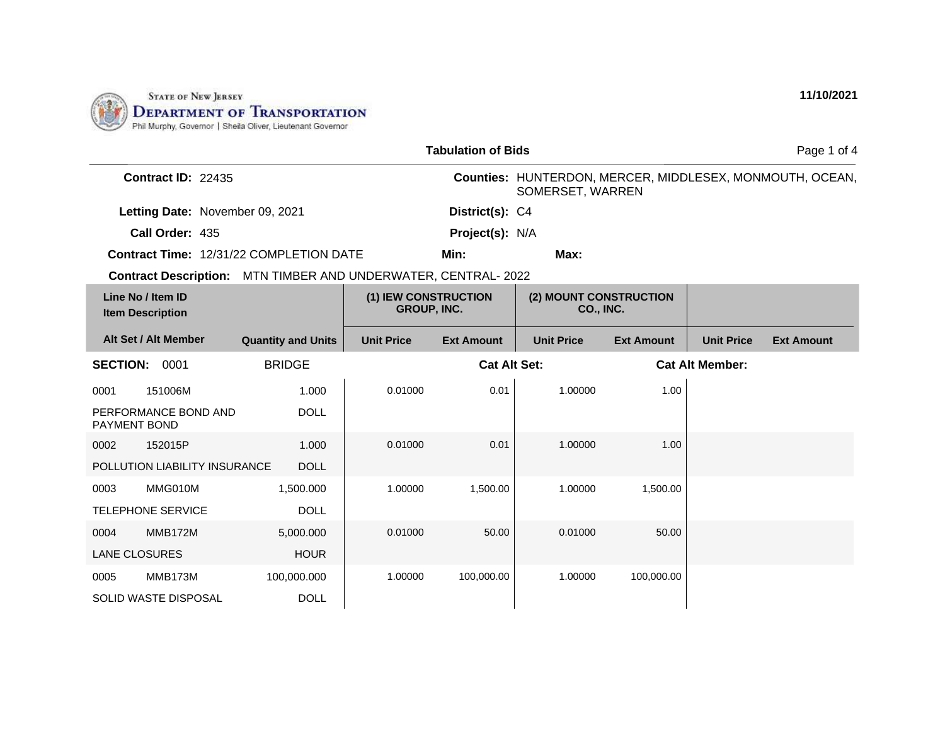

|                                                                       |                           |                                            | <b>Tabulation of Bids</b> |                                     |                   |                        | Page 1 of 4                                              |
|-----------------------------------------------------------------------|---------------------------|--------------------------------------------|---------------------------|-------------------------------------|-------------------|------------------------|----------------------------------------------------------|
| <b>Contract ID: 22435</b>                                             |                           |                                            |                           | SOMERSET, WARREN                    |                   |                        | Counties: HUNTERDON, MERCER, MIDDLESEX, MONMOUTH, OCEAN, |
| Letting Date: November 09, 2021                                       |                           |                                            | District(s): C4           |                                     |                   |                        |                                                          |
| Call Order: 435                                                       |                           |                                            | Project(s): N/A           |                                     |                   |                        |                                                          |
| Contract Time: 12/31/22 COMPLETION DATE                               |                           |                                            | Min:                      | Max:                                |                   |                        |                                                          |
| <b>Contract Description:</b> MTN TIMBER AND UNDERWATER, CENTRAL- 2022 |                           |                                            |                           |                                     |                   |                        |                                                          |
| Line No / Item ID<br><b>Item Description</b>                          |                           | (1) IEW CONSTRUCTION<br><b>GROUP, INC.</b> |                           | (2) MOUNT CONSTRUCTION<br>CO., INC. |                   |                        |                                                          |
| Alt Set / Alt Member                                                  | <b>Quantity and Units</b> | <b>Unit Price</b>                          | <b>Ext Amount</b>         | <b>Unit Price</b>                   | <b>Ext Amount</b> | <b>Unit Price</b>      | <b>Ext Amount</b>                                        |
| <b>BRIDGE</b><br><b>SECTION:</b><br>0001                              |                           |                                            | <b>Cat Alt Set:</b>       |                                     |                   | <b>Cat Alt Member:</b> |                                                          |
| 151006M<br>0001                                                       | 1.000                     | 0.01000                                    | 0.01                      | 1.00000                             | 1.00              |                        |                                                          |
| PERFORMANCE BOND AND<br><b>PAYMENT BOND</b>                           | <b>DOLL</b>               |                                            |                           |                                     |                   |                        |                                                          |
| 152015P<br>0002                                                       | 1.000                     | 0.01000                                    | 0.01                      | 1.00000                             | 1.00              |                        |                                                          |
| POLLUTION LIABILITY INSURANCE                                         | <b>DOLL</b>               |                                            |                           |                                     |                   |                        |                                                          |
| MMG010M<br>0003                                                       | 1,500.000                 | 1.00000                                    | 1,500.00                  | 1.00000                             | 1,500.00          |                        |                                                          |
| <b>TELEPHONE SERVICE</b>                                              | <b>DOLL</b>               |                                            |                           |                                     |                   |                        |                                                          |
| MMB172M<br>0004                                                       | 5,000.000                 | 0.01000                                    | 50.00                     | 0.01000                             | 50.00             |                        |                                                          |
| <b>LANE CLOSURES</b>                                                  | <b>HOUR</b>               |                                            |                           |                                     |                   |                        |                                                          |
| MMB173M<br>0005                                                       | 100,000.000               | 1.00000                                    | 100,000.00                | 1.00000                             | 100,000.00        |                        |                                                          |
| SOLID WASTE DISPOSAL                                                  | <b>DOLL</b>               |                                            |                           |                                     |                   |                        |                                                          |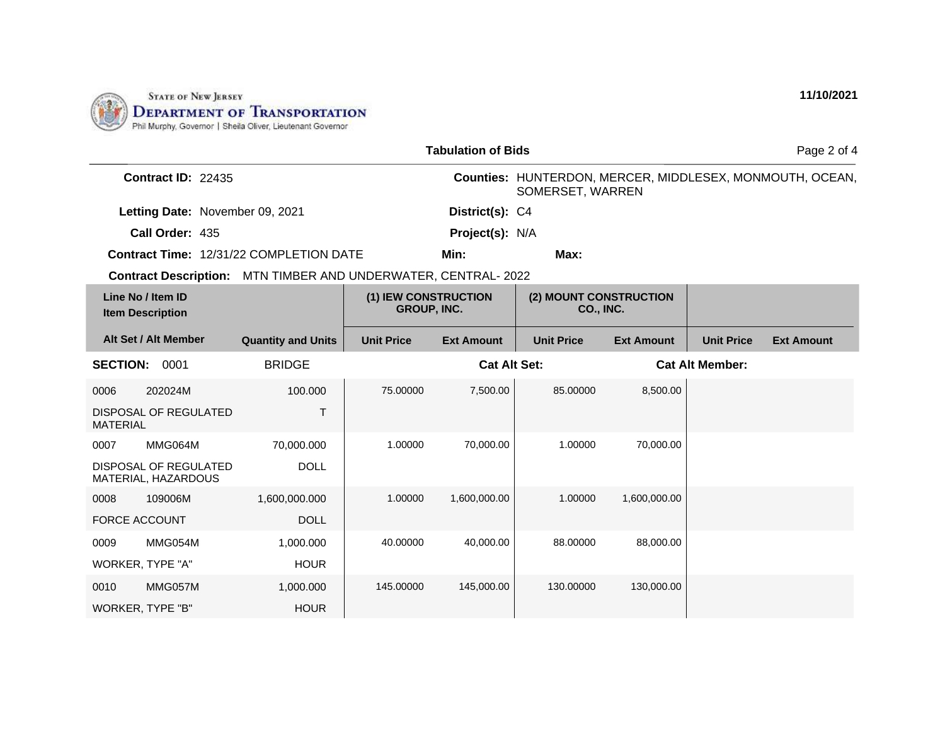

| <b>Tabulation of Bids</b>                    |                                              |                                                                       |                   |                                     |                   |                        | Page 2 of 4                                              |                   |
|----------------------------------------------|----------------------------------------------|-----------------------------------------------------------------------|-------------------|-------------------------------------|-------------------|------------------------|----------------------------------------------------------|-------------------|
| Contract ID: 22435                           |                                              |                                                                       |                   | SOMERSET, WARREN                    |                   |                        | Counties: HUNTERDON, MERCER, MIDDLESEX, MONMOUTH, OCEAN, |                   |
|                                              | Letting Date: November 09, 2021              |                                                                       |                   | District(s): C4                     |                   |                        |                                                          |                   |
|                                              | Call Order: 435                              |                                                                       |                   | Project(s): N/A                     |                   |                        |                                                          |                   |
|                                              |                                              | Contract Time: 12/31/22 COMPLETION DATE                               |                   | Min:                                | Max:              |                        |                                                          |                   |
|                                              |                                              | <b>Contract Description:</b> MTN TIMBER AND UNDERWATER, CENTRAL- 2022 |                   |                                     |                   |                        |                                                          |                   |
| Line No / Item ID<br><b>Item Description</b> |                                              | (1) IEW CONSTRUCTION<br><b>GROUP, INC.</b>                            |                   | (2) MOUNT CONSTRUCTION<br>CO., INC. |                   |                        |                                                          |                   |
|                                              | Alt Set / Alt Member                         | <b>Quantity and Units</b>                                             | <b>Unit Price</b> | <b>Ext Amount</b>                   | <b>Unit Price</b> | <b>Ext Amount</b>      | <b>Unit Price</b>                                        | <b>Ext Amount</b> |
| <b>BRIDGE</b><br><b>SECTION:</b><br>0001     |                                              | <b>Cat Alt Set:</b>                                                   |                   |                                     |                   | <b>Cat Alt Member:</b> |                                                          |                   |
| 0006                                         | 202024M                                      | 100.000                                                               | 75.00000          | 7,500.00                            | 85.00000          | 8,500.00               |                                                          |                   |
| <b>MATERIAL</b>                              | DISPOSAL OF REGULATED                        | T                                                                     |                   |                                     |                   |                        |                                                          |                   |
| 0007                                         | MMG064M                                      | 70,000.000                                                            | 1.00000           | 70,000.00                           | 1.00000           | 70,000.00              |                                                          |                   |
|                                              | DISPOSAL OF REGULATED<br>MATERIAL, HAZARDOUS | <b>DOLL</b>                                                           |                   |                                     |                   |                        |                                                          |                   |
| 0008                                         | 109006M                                      | 1,600,000.000                                                         | 1.00000           | 1,600,000.00                        | 1.00000           | 1,600,000.00           |                                                          |                   |
| <b>FORCE ACCOUNT</b>                         |                                              | <b>DOLL</b>                                                           |                   |                                     |                   |                        |                                                          |                   |
| 0009                                         | MMG054M                                      | 1,000.000                                                             | 40.00000          | 40,000.00                           | 88.00000          | 88,000.00              |                                                          |                   |
| WORKER, TYPE "A"                             |                                              | <b>HOUR</b>                                                           |                   |                                     |                   |                        |                                                          |                   |
| 0010                                         | MMG057M                                      | 1,000.000                                                             | 145.00000         | 145,000.00                          | 130.00000         | 130,000.00             |                                                          |                   |
| <b>WORKER, TYPE "B"</b>                      |                                              | <b>HOUR</b>                                                           |                   |                                     |                   |                        |                                                          |                   |

**11/10/2021**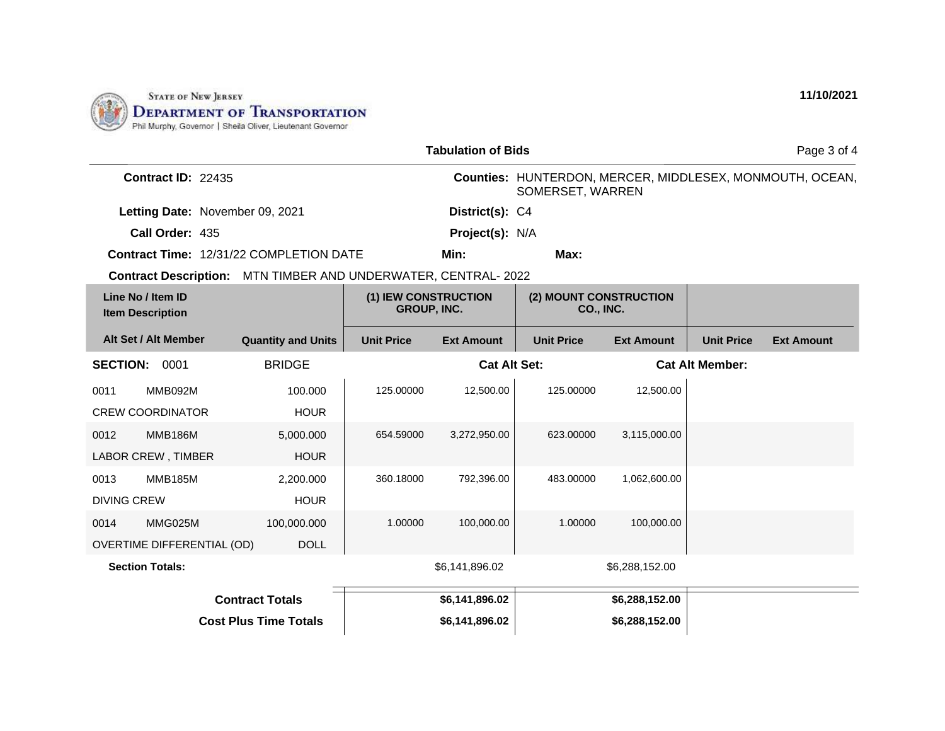

|                                                                |                                            | <b>Tabulation of Bids</b> |                                     |                   |                   | Page 3 of 4                                              |
|----------------------------------------------------------------|--------------------------------------------|---------------------------|-------------------------------------|-------------------|-------------------|----------------------------------------------------------|
| <b>Contract ID: 22435</b>                                      |                                            |                           | SOMERSET, WARREN                    |                   |                   | Counties: HUNTERDON, MERCER, MIDDLESEX, MONMOUTH, OCEAN, |
| Letting Date: November 09, 2021                                |                                            | District(s): C4           |                                     |                   |                   |                                                          |
| Call Order: 435                                                |                                            | Project(s): N/A           |                                     |                   |                   |                                                          |
| <b>Contract Time: 12/31/22 COMPLETION DATE</b>                 |                                            | Min:                      | Max:                                |                   |                   |                                                          |
| Contract Description: MTN TIMBER AND UNDERWATER, CENTRAL- 2022 |                                            |                           |                                     |                   |                   |                                                          |
| Line No / Item ID<br><b>Item Description</b>                   | (1) IEW CONSTRUCTION<br><b>GROUP, INC.</b> |                           | (2) MOUNT CONSTRUCTION<br>CO., INC. |                   |                   |                                                          |
| Alt Set / Alt Member<br><b>Quantity and Units</b>              | <b>Unit Price</b>                          | <b>Ext Amount</b>         | <b>Unit Price</b>                   | <b>Ext Amount</b> | <b>Unit Price</b> | <b>Ext Amount</b>                                        |
| <b>BRIDGE</b><br><b>SECTION:</b><br>0001                       | <b>Cat Alt Set:</b>                        |                           | <b>Cat Alt Member:</b>              |                   |                   |                                                          |
| MMB092M<br>100.000<br>0011                                     | 125.00000                                  | 12,500.00                 | 125.00000                           | 12,500.00         |                   |                                                          |
| <b>CREW COORDINATOR</b><br><b>HOUR</b>                         |                                            |                           |                                     |                   |                   |                                                          |
| <b>MMB186M</b><br>0012<br>5,000.000                            | 654.59000                                  | 3,272,950.00              | 623.00000                           | 3,115,000.00      |                   |                                                          |
| LABOR CREW, TIMBER<br><b>HOUR</b>                              |                                            |                           |                                     |                   |                   |                                                          |
| <b>MMB185M</b><br>0013<br>2,200.000                            | 360.18000                                  | 792,396.00                | 483.00000                           | 1,062,600.00      |                   |                                                          |
| <b>DIVING CREW</b><br><b>HOUR</b>                              |                                            |                           |                                     |                   |                   |                                                          |
| MMG025M<br>0014<br>100,000.000                                 | 1.00000                                    | 100,000.00                | 1.00000                             | 100,000.00        |                   |                                                          |
| OVERTIME DIFFERENTIAL (OD)<br><b>DOLL</b>                      |                                            |                           |                                     |                   |                   |                                                          |
| <b>Section Totals:</b>                                         |                                            | \$6,141,896.02            |                                     | \$6,288,152.00    |                   |                                                          |
| <b>Contract Totals</b>                                         |                                            | \$6,141,896.02            |                                     | \$6,288,152.00    |                   |                                                          |
| <b>Cost Plus Time Totals</b>                                   |                                            | \$6,141,896.02            |                                     | \$6,288,152.00    |                   |                                                          |

**11/10/2021**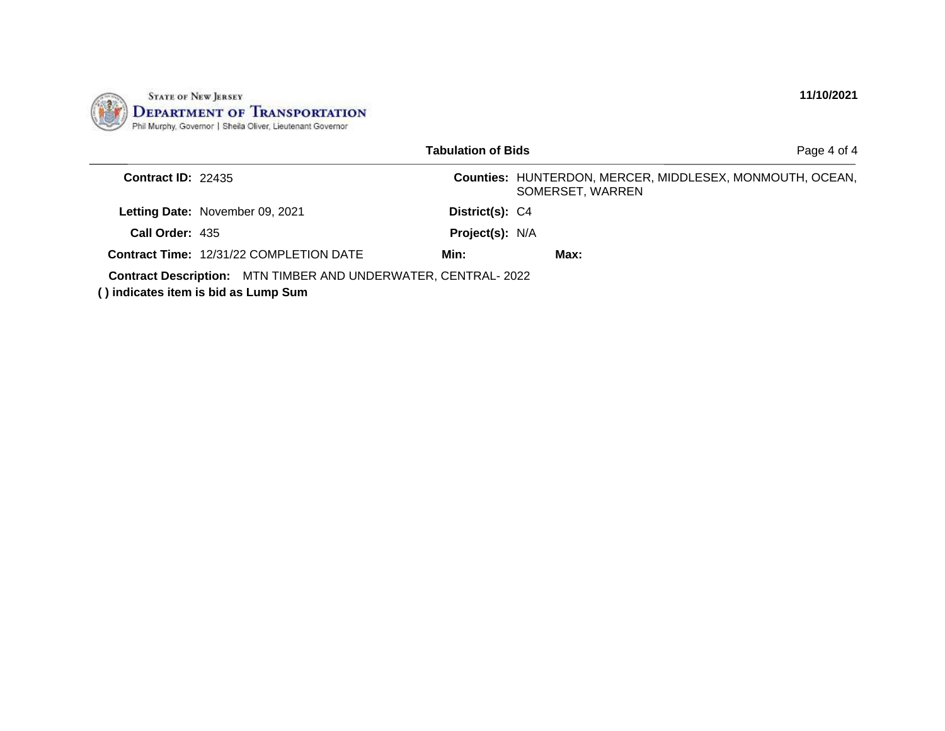

|                      |                                                                                                              | <b>Tabulation of Bids</b> | Page 4 of 4                                                                  |
|----------------------|--------------------------------------------------------------------------------------------------------------|---------------------------|------------------------------------------------------------------------------|
| Contract ID: $22435$ |                                                                                                              |                           | Counties: HUNTERDON, MERCER, MIDDLESEX, MONMOUTH, OCEAN,<br>SOMERSET, WARREN |
|                      | Letting Date: November 09, 2021                                                                              | District(s): C4           |                                                                              |
| Call Order: 435      |                                                                                                              | Project(s): N/A           |                                                                              |
|                      | <b>Contract Time: 12/31/22 COMPLETION DATE</b>                                                               | Min:                      | Max:                                                                         |
|                      | <b>Contract Description:</b> MTN TIMBER AND UNDERWATER, CENTRAL-2022<br>() indicates item is bid as Lump Sum |                           |                                                                              |